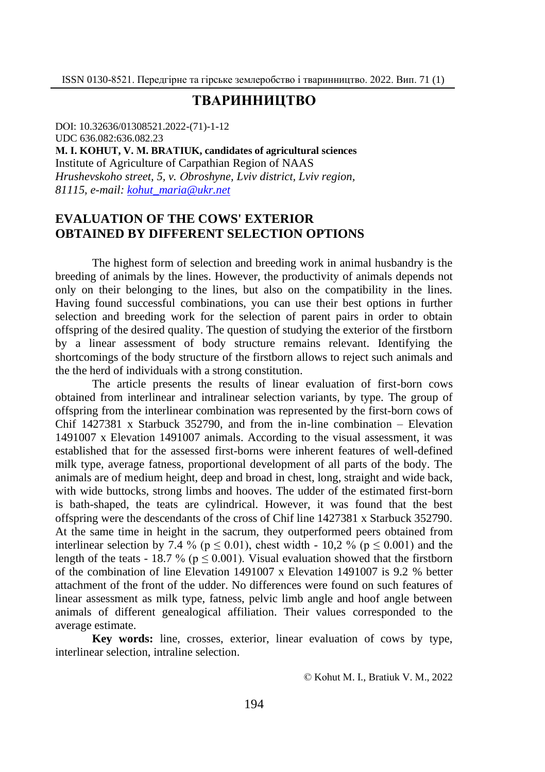### **ТВАРИННИЦТВО**

DОI: 10.32636/01308521.2022-(71)-1-12 UDC 636.082:636.082.23 **М. І. KОHUТ, V. М. BRАТIUK, candidates of agricultural sciences** Institute of Agriculture of Carpathian Region of NAAS *Hrushevskoho street, 5, v. Оbroshyne, Lviv district, Lviv region, 81115, e-mail: [kohut\\_maria@ukr.net](mailto:kohut_maria@ukr.net)*

# **EVALUATION OF THE COWS' EXTERIOR OBTAINED BY DIFFERENT SELECTION OPTIONS**

The highest form of selection and breeding work in animal husbandry is the breeding of animals by the lines. However, the productivity of animals depends not only on their belonging to the lines, but also on the compatibility in the lines. Having found successful combinations, you can use their best options in further selection and breeding work for the selection of parent pairs in order to obtain offspring of the desired quality. The question of studying the exterior of the firstborn by a linear assessment of body structure remains relevant. Identifying the shortcomings of the body structure of the firstborn allows to reject such animals and the the herd of individuals with a strong constitution.

The article presents the results of linear evaluation of first-born cows obtained from interlinear and intralinear selection variants, by type. The group of offspring from the interlinear combination was represented by the first-born cows of Chif  $1427381 \times$  Starbuck 352790, and from the in-line combination – Elevation 1491007 x Elevation 1491007 animals. According to the visual assessment, it was established that for the assessed first-borns were inherent features of well-defined milk type, average fatness, proportional development of all parts of the body. The animals are of medium height, deep and broad in chest, long, straight and wide back, with wide buttocks, strong limbs and hooves. The udder of the estimated first-born is bath-shaped, the teats are cylindrical. However, it was found that the best offspring were the descendants of the cross of Chif line 1427381 x Starbuck 352790. At the same time in height in the sacrum, they outperformed peers obtained from interlinear selection by 7.4 % ( $p \le 0.01$ ), chest width - 10,2 % ( $p \le 0.001$ ) and the length of the teats - 18.7 % ( $p \le 0.001$ ). Visual evaluation showed that the firstborn of the combination of line Elevation 1491007 x Elevation 1491007 is 9.2 % better attachment of the front of the udder. No differences were found on such features of linear assessment as milk type, fatness, pelvic limb angle and hoof angle between animals of different genealogical affiliation. Their values corresponded to the average estimate.

**Key words:** line, crosses, exterior, linear evaluation of cows by type, interlinear selection, intraline selection.

© Kоhut М. І., Brаtiuk V. М., 2022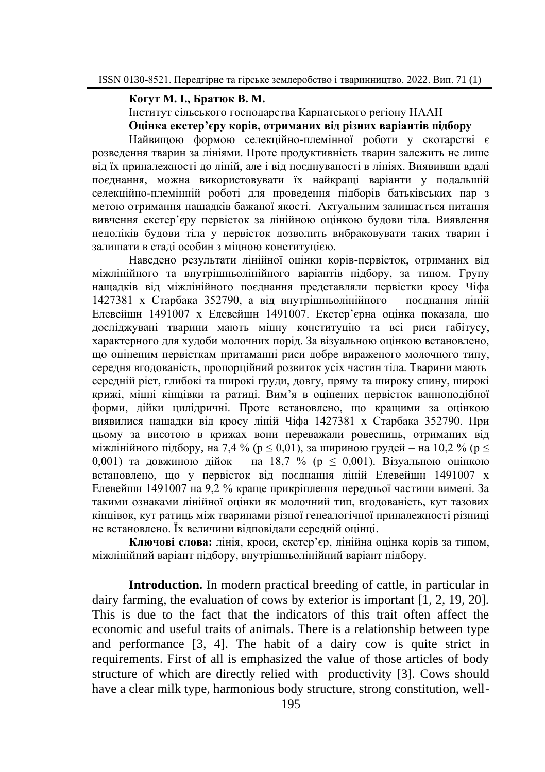### **Когут М. І., Братюк В. М.**

Інститут сільського господарства Карпатського регіону НААН

**Оцінка екстер'єру корів, отриманих від різних варіантів підбору**

Найвищою формою селекційно-племінної роботи у скотарстві є розведення тварин за лініями. Проте продуктивність тварин залежить не лише від їх приналежності до ліній, але і від поєднуваності в лініях. Виявивши вдалі поєднання, можна використовувати їх найкращі варіанти у подальшій селекційно-племінній роботі для проведення підборів батьківських пар з метою отримання нащадків бажаної якості. Актуальним залишається питання вивчення екстер'єру первісток за лінійною оцінкою будови тіла. Виявлення недоліків будови тіла у первісток дозволить вибраковувати таких тварин і залишати в стаді особин з міцною конституцією.

Наведено результати лінійної оцінки корів-первісток, отриманих від міжлінійного та внутрішньолінійного варіантів підбору, за типом. Групу нащадків від міжлінійного поєднання представляли первістки кросу Чіфа 1427381 х Старбака 352790, а від внутрішньолінійного – поєднання ліній Елевейшн 1491007 х Елевейшн 1491007. Екстер'єрна оцінка показала, що досліджувані тварини мають міцну конституцію та всі риси габітусу, характерного для худоби молочних порід. За візуальною оцінкою встановлено, що оціненим первісткам притаманні риси добре вираженого молочного типу, середня вгодованість, пропорційний розвиток усіх частин тіла. Тварини мають середній ріст, глибокі та широкі груди, довгу, пряму та широку спину, широкі крижі, міцні кінцівки та ратиці. Вим'я в оцінених первісток ванноподібної форми, дійки цилідричні. Проте встановлено, що кращими за оцінкою виявилися нащадки від кросу ліній Чіфа 1427381 х Старбака 352790. При цьому за висотою в крижах вони переважали ровесниць, отриманих від міжлінійного підбору, на 7,4 % (р  $\leq$  0,01), за шириною грудей – на 10,2 % (р  $\leq$ 0,001) та довжиною дійок – на 18,7 % (р ≤ 0,001). Візуальною оцінкою встановлено, що у первісток від поєднання ліній Елевейшн 1491007 х Елевейшн 1491007 на 9,2 % краще прикріплення передньої частини вимені. За такими ознаками лінійної оцінки як молочний тип, вгодованість, кут тазових кінцівок, кут ратиць між тваринами різної генеалогічної приналежності різниці не встановлено. Їх величини відповідали середній оцінці.

**Ключові слова:** лінія, кроси, екстер'єр, лінійна оцінка корів за типом, міжлінійний варіант підбору, внутрішньолінійний варіант підбору.

**Introduction.** In modern practical breeding of cattle, in particular in dairy farming, the evaluation of cows by exterior is important [1, 2, 19, 20]. This is due to the fact that the indicators of this trait often affect the economic and useful traits of animals. There is a relationship between type and performance [3, 4]. The habit of a dairy cow is quite strict in requirements. First of all is emphasized the value of those articles of body structure of which are directly relied with productivity [3]. Cows should have a clear milk type, harmonious body structure, strong constitution, well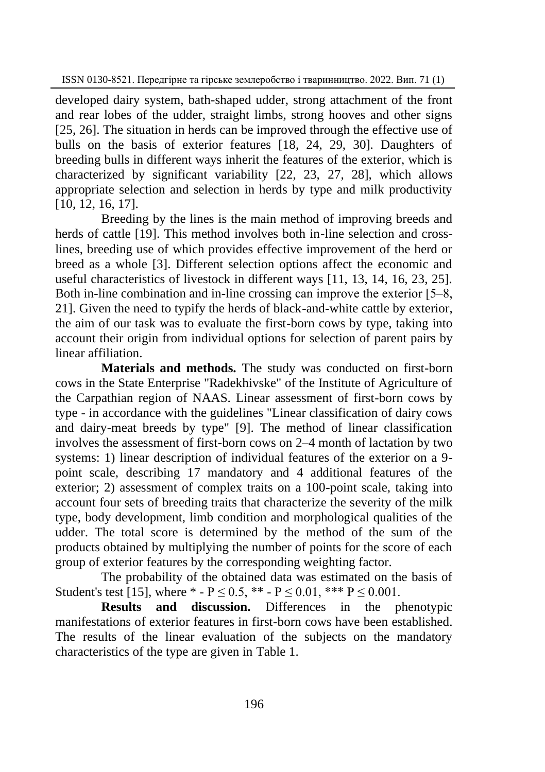ISSN 0130-8521. Передгірне та гірське землеробство і тваринництво. 2022. Вип. 71 (1)

developed dairy system, bath-shaped udder, strong attachment of the front and rear lobes of the udder, straight limbs, strong hooves and other signs [25, 26]. The situation in herds can be improved through the effective use of bulls on the basis of exterior features [18, 24, 29, 30]. Daughters of breeding bulls in different ways inherit the features of the exterior, which is characterized by significant variability [22, 23, 27, 28], which allows appropriate selection and selection in herds by type and milk productivity [10, 12, 16, 17].

Breeding by the lines is the main method of improving breeds and herds of cattle [19]. This method involves both in-line selection and crosslines, breeding use of which provides effective improvement of the herd or breed as a whole [3]. Different selection options affect the economic and useful characteristics of livestock in different ways [11, 13, 14, 16, 23, 25]. Both in-line combination and in-line crossing can improve the exterior [5–8, 21]. Given the need to typify the herds of black-and-white cattle by exterior, the aim of our task was to evaluate the first-born cows by type, taking into account their origin from individual options for selection of parent pairs by linear affiliation.

**Materials and methods.** The study was conducted on first-born cows in the State Enterprise "Radekhivske" of the Institute of Agriculture of the Carpathian region of NAAS. Linear assessment of first-born cows by type - in accordance with the guidelines "Linear classification of dairy cows and dairy-meat breeds by type" [9]. The method of linear classification involves the assessment of first-born cows on 2‒4 month of lactation by two systems: 1) linear description of individual features of the exterior on a 9 point scale, describing 17 mandatory and 4 additional features of the exterior; 2) assessment of complex traits on a 100-point scale, taking into account four sets of breeding traits that characterize the severity of the milk type, body development, limb condition and morphological qualities of the udder. The total score is determined by the method of the sum of the products obtained by multiplying the number of points for the score of each group of exterior features by the corresponding weighting factor.

The probability of the obtained data was estimated on the basis of Student's test [15], where  $* - P \le 0.5$ ,  $** - P \le 0.01$ ,  $*** P \le 0.001$ .

**Results and discussion.** Differences in the phenotypic manifestations of exterior features in first-born cows have been established. The results of the linear evaluation of the subjects on the mandatory characteristics of the type are given in Table 1.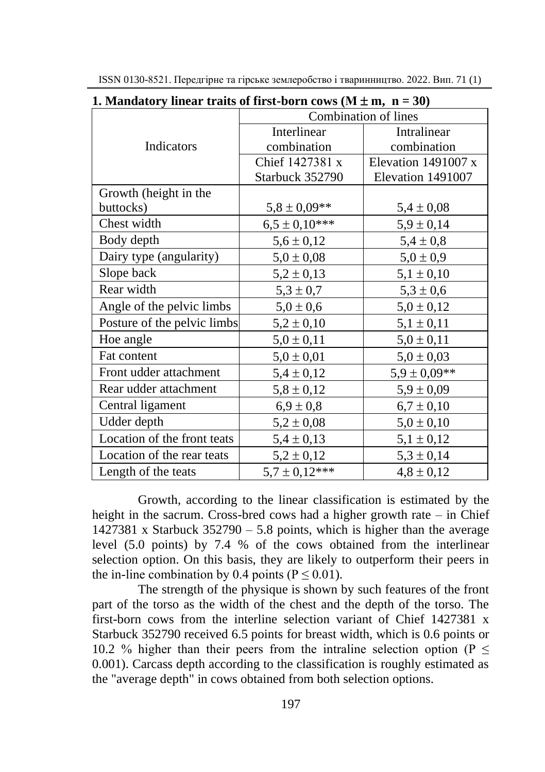| 1. Mandatory linear traits of first-born cows (M $\pm$ m, n = 30) |                      |                     |  |
|-------------------------------------------------------------------|----------------------|---------------------|--|
|                                                                   | Combination of lines |                     |  |
|                                                                   | Interlinear          | Intralinear         |  |
| Indicators                                                        | combination          | combination         |  |
|                                                                   | Chief 1427381 x      | Elevation 1491007 x |  |
|                                                                   | Starbuck 352790      | Elevation 1491007   |  |
| Growth (height in the                                             |                      |                     |  |
| buttocks)                                                         | $5,8 \pm 0,09$ **    | $5,4 \pm 0,08$      |  |
| Chest width                                                       | $6,5 \pm 0,10$ ***   | $5,9 \pm 0,14$      |  |
| Body depth                                                        | $5,6 \pm 0,12$       | $5,4 \pm 0,8$       |  |
| Dairy type (angularity)                                           | $5,0 \pm 0,08$       | $5,0 \pm 0,9$       |  |
| Slope back                                                        | $5,2 \pm 0,13$       | $5,1 \pm 0,10$      |  |
| Rear width                                                        | $5,3 \pm 0,7$        | $5,3 \pm 0,6$       |  |
| Angle of the pelvic limbs                                         | $5,0 \pm 0,6$        | $5,0 \pm 0,12$      |  |
| Posture of the pelvic limbs                                       | $5,2 \pm 0,10$       | $5,1 \pm 0,11$      |  |
| Hoe angle                                                         | $5,0 \pm 0,11$       | $5,0 \pm 0,11$      |  |
| Fat content                                                       | $5,0 \pm 0,01$       | $5,0 \pm 0,03$      |  |
| Front udder attachment                                            | $5,4 \pm 0,12$       | $5,9 \pm 0,09**$    |  |
| Rear udder attachment                                             | $5,8 \pm 0,12$       | $5,9 \pm 0,09$      |  |
| Central ligament                                                  | $6.9 \pm 0.8$        | $6,7 \pm 0,10$      |  |
| Udder depth                                                       | $5,2 \pm 0,08$       | $5,0 \pm 0,10$      |  |
| Location of the front teats                                       | $5,4 \pm 0,13$       | $5,1 \pm 0,12$      |  |
| Location of the rear teats                                        | $5,2 \pm 0,12$       | $5,3 \pm 0,14$      |  |
| Length of the teats                                               | $5.7 \pm 0.12***$    | $4,8 \pm 0,12$      |  |

ISSN 0130-8521. Передгірне та гірське землеробство і тваринництво. 2022. Вип. 71 (1)

**1.** Mandatory linear traits of first-born cows  $(M \pm m, n = 30)$ 

Growth, according to the linear classification is estimated by the height in the sacrum. Cross-bred cows had a higher growth rate – in Chief 1427381 x Starbuck  $352790 - 5.8$  points, which is higher than the average level (5.0 points) by 7.4 % of the cows obtained from the interlinear selection option. On this basis, they are likely to outperform their peers in the in-line combination by 0.4 points ( $P \le 0.01$ ).

The strength of the physique is shown by such features of the front part of the torso as the width of the chest and the depth of the torso. The first-born cows from the interline selection variant of Chief 1427381 x Starbuck 352790 received 6.5 points for breast width, which is 0.6 points or 10.2 % higher than their peers from the intraline selection option ( $P \leq$ 0.001). Carcass depth according to the classification is roughly estimated as the "average depth" in cows obtained from both selection options.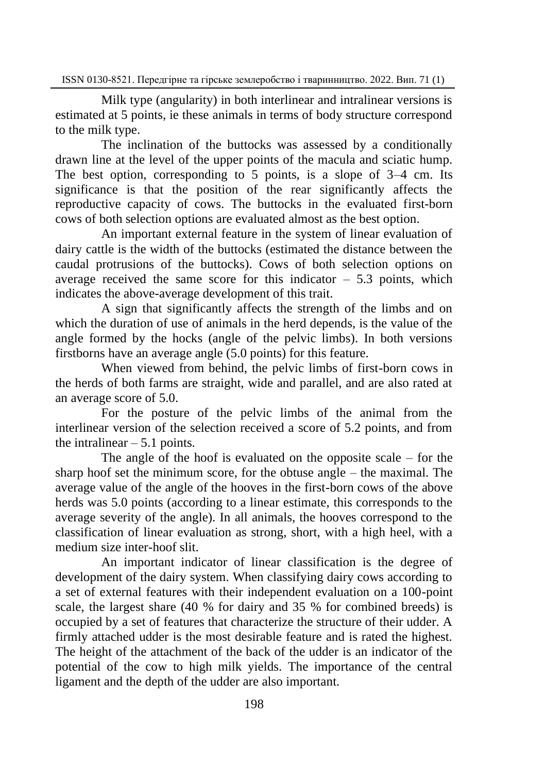ISSN 0130-8521. Передгірне та гірське землеробство і тваринництво. 2022. Вип. 71 (1)

Milk type (angularity) in both interlinear and intralinear versions is estimated at 5 points, ie these animals in terms of body structure correspond to the milk type.

The inclination of the buttocks was assessed by a conditionally drawn line at the level of the upper points of the macula and sciatic hump. The best option, corresponding to 5 points, is a slope of  $3-4$  cm. Its significance is that the position of the rear significantly affects the reproductive capacity of cows. The buttocks in the evaluated first-born cows of both selection options are evaluated almost as the best option.

An important external feature in the system of linear evaluation of dairy cattle is the width of the buttocks (estimated the distance between the caudal protrusions of the buttocks). Cows of both selection options on average received the same score for this indicator  $-5.3$  points, which indicates the above-average development of this trait.

A sign that significantly affects the strength of the limbs and on which the duration of use of animals in the herd depends, is the value of the angle formed by the hocks (angle of the pelvic limbs). In both versions firstborns have an average angle (5.0 points) for this feature.

When viewed from behind, the pelvic limbs of first-born cows in the herds of both farms are straight, wide and parallel, and are also rated at an average score of 5.0.

For the posture of the pelvic limbs of the animal from the interlinear version of the selection received a score of 5.2 points, and from the intralinear  $-5.1$  points.

The angle of the hoof is evaluated on the opposite scale  $-$  for the sharp hoof set the minimum score, for the obtuse angle  $-$  the maximal. The average value of the angle of the hooves in the first-born cows of the above herds was 5.0 points (according to a linear estimate, this corresponds to the average severity of the angle). In all animals, the hooves correspond to the classification of linear evaluation as strong, short, with a high heel, with a medium size inter-hoof slit.

An important indicator of linear classification is the degree of development of the dairy system. When classifying dairy cows according to a set of external features with their independent evaluation on a 100-point scale, the largest share (40 % for dairy and 35 % for combined breeds) is occupied by a set of features that characterize the structure of their udder. A firmly attached udder is the most desirable feature and is rated the highest. The height of the attachment of the back of the udder is an indicator of the potential of the cow to high milk yields. The importance of the central ligament and the depth of the udder are also important.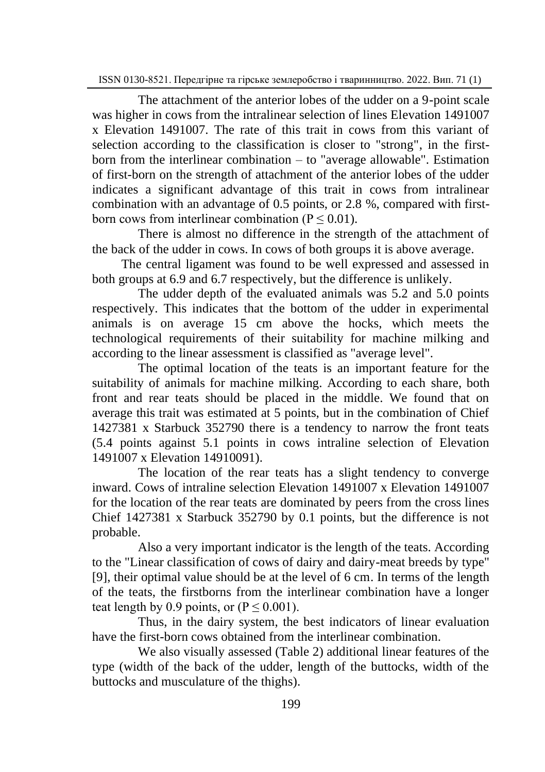The attachment of the anterior lobes of the udder on a 9-point scale was higher in cows from the intralinear selection of lines Elevation 1491007 x Elevation 1491007. The rate of this trait in cows from this variant of selection according to the classification is closer to "strong", in the firstborn from the interlinear combination  $-$  to "average allowable". Estimation of first-born on the strength of attachment of the anterior lobes of the udder indicates a significant advantage of this trait in cows from intralinear combination with an advantage of 0.5 points, or 2.8 %, compared with firstborn cows from interlinear combination  $(P \le 0.01)$ .

There is almost no difference in the strength of the attachment of the back of the udder in cows. In cows of both groups it is above average.

 The central ligament was found to be well expressed and assessed in both groups at 6.9 and 6.7 respectively, but the difference is unlikely.

The udder depth of the evaluated animals was 5.2 and 5.0 points respectively. This indicates that the bottom of the udder in experimental animals is on average 15 cm above the hocks, which meets the technological requirements of their suitability for machine milking and according to the linear assessment is classified as "average level".

The optimal location of the teats is an important feature for the suitability of animals for machine milking. According to each share, both front and rear teats should be placed in the middle. We found that on average this trait was estimated at 5 points, but in the combination of Chief 1427381 x Starbuck 352790 there is a tendency to narrow the front teats (5.4 points against 5.1 points in cows intraline selection of Elevation 1491007 x Elevation 14910091).

The location of the rear teats has a slight tendency to converge inward. Cows of intraline selection Elevation 1491007 x Elevation 1491007 for the location of the rear teats are dominated by peers from the cross lines Chief 1427381 x Starbuck 352790 by 0.1 points, but the difference is not probable.

Also a very important indicator is the length of the teats. According to the "Linear classification of cows of dairy and dairy-meat breeds by type" [9], their optimal value should be at the level of 6 cm. In terms of the length of the teats, the firstborns from the interlinear combination have a longer teat length by 0.9 points, or  $(P \le 0.001)$ .

Thus, in the dairy system, the best indicators of linear evaluation have the first-born cows obtained from the interlinear combination.

We also visually assessed (Table 2) additional linear features of the type (width of the back of the udder, length of the buttocks, width of the buttocks and musculature of the thighs).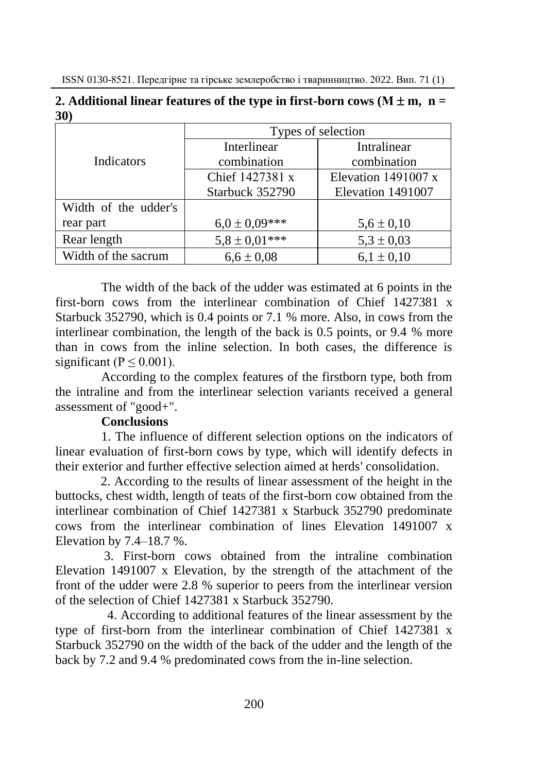|                      | Types of selection |                       |  |
|----------------------|--------------------|-----------------------|--|
|                      | Interlinear        | Intralinear           |  |
| Indicators           | combination        | combination           |  |
|                      | Chief 1427381 x    | Elevation 1491007 $x$ |  |
|                      | Starbuck 352790    | Elevation 1491007     |  |
| Width of the udder's |                    |                       |  |
| rear part            | $6.0 \pm 0.09$ *** | $5.6 \pm 0.10$        |  |
| Rear length          | $5,8 \pm 0.01***$  | $5.3 \pm 0.03$        |  |
| Width of the sacrum  | $6.6 \pm 0.08$     | $6,1 \pm 0,10$        |  |

**2.** Additional linear features of the type in first-born cows  $(M \pm m, n =$ **30)**

The width of the back of the udder was estimated at 6 points in the first-born cows from the interlinear combination of Chief 1427381 x Starbuck 352790, which is 0.4 points or 7.1 % more. Also, in cows from the interlinear combination, the length of the back is 0.5 points, or 9.4 % more than in cows from the inline selection. In both cases, the difference is significant ( $P \le 0.001$ ).

According to the complex features of the firstborn type, both from the intraline and from the interlinear selection variants received a general assessment of "good+".

# **Conclusions**

1. The influence of different selection options on the indicators of linear evaluation of first-born cows by type, which will identify defects in their exterior and further effective selection aimed at herds' consolidation.

 2. According to the results of linear assessment of the height in the buttocks, chest width, length of teats of the first-born cow obtained from the interlinear combination of Chief 1427381 x Starbuck 352790 predominate cows from the interlinear combination of lines Elevation 1491007 x Elevation by  $7.4-18.7$  %.

 3. First-born cows obtained from the intraline combination Elevation 1491007 x Elevation, by the strength of the attachment of the front of the udder were 2.8 % superior to peers from the interlinear version of the selection of Chief 1427381 x Starbuck 352790.

 4. According to additional features of the linear assessment by the type of first-born from the interlinear combination of Chief 1427381 x Starbuck 352790 on the width of the back of the udder and the length of the back by 7.2 and 9.4 % predominated cows from the in-line selection.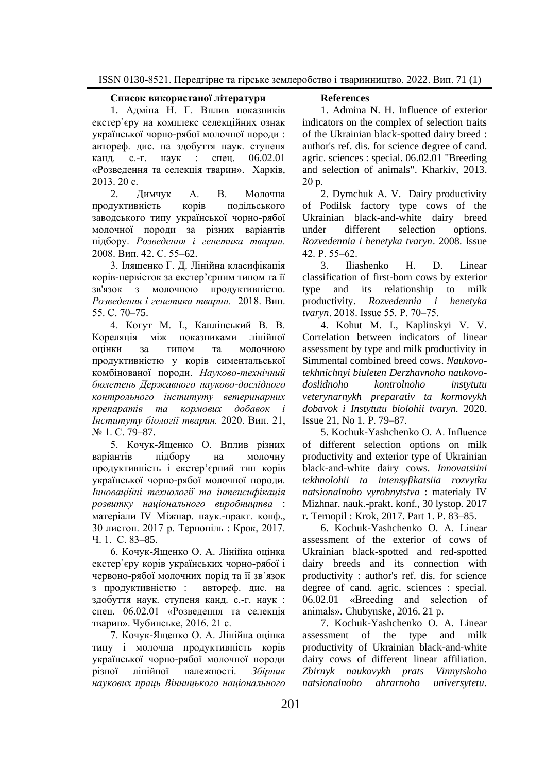#### **Список використаної літератури**

1. Адміна Н. Г. Вплив показників екстер`єру на комплекс селекційних ознак української чорно-рябої молочної породи : автореф. дис. на здобуття наук. ступеня канд. с.-г. наук : спец. 06.02.01 «Розведення та селекція тварин». Харків, 2013. 20 с.

2. Димчук А. В. Молочна продуктивність корів подільського заводського типу української чорно-рябої молочної породи за різних варіантів підбору. *Розведення і генетика тварин.* 2008. Вип. 42. С. 55–62.

3. Іляшенко Г. Д. Лінійна класифікація корів-первісток за екстер'єрним типом та її зв'язок з молочною продуктивністю. *Розведення і генетика тварин.* 2018. Вип. 55. С. 70–75.

4. Когут М. І., Каплінський В. В. Кореляція між показниками лінійної оцінки за типом та молочною продуктивністю у корів симентальської комбінованої породи. *Науково-технічний бюлетень Державного науково-дослідного контрольного інституту ветеринарних препаратів та кормових добавок і Інституту біології тварин.* 2020. Вип. 21, № 1. С. 79–87.

5. Кочук-Ященко О. Вплив різних варіантів підбору на молочну продуктивність і екстер'єрний тип корів української чорно-рябої молочної породи. *Інноваційні технології та інтенсифікація розвитку національного виробництва* : матеріали ІV Міжнар. наук.-практ. конф., 30 листоп. 2017 р. Тернопіль : Крок, 2017. Ч. 1. С. 83–85.

6. Кочук-Ященко О. А. Лінійна оцінка екстер`єру корів українських чорно-рябої і червоно-рябої молочних порід та її зв`язок з продуктивністю : автореф. дис. на здобуття наук. ступеня канд. с.-г. наук : спец. 06.02.01 «Розведення та селекція тварин». Чубинське, 2016. 21 с.

7. Кочук-Ященко О. А. Лінійна оцінка типу і молочна продуктивність корів української чорно-рябої молочної породи різної лінійної належності. *Збірник наукових праць Вінницького національного* 

#### **References**

1. Admina N. H. Influence of exterior indicators on the complex of selection traits of the Ukrainian black-spotted dairy breed : author's ref. dis. for science degree of cand. agric. sciences : special. 06.02.01 "Breeding and selection of animals". Kharkiv, 2013. 20 р.

2. Dymchuk A. V. Dairy productivity of Podilsk factory type cows of the Ukrainian black-and-white dairy breed under different selection options. *Rozvedennia i henetyka tvaryn*. 2008. Issue 42. P. 55‒62.

3. Iliashenko H. D. Linear classification of first-born cows by exterior type and its relationship to milk productivity. *Rozvedennia i henetyka tvaryn*. 2018. Issue 55. P. 70‒75.

4*.* Kohut M. I., Kaplinskyi V. V. Correlation between indicators of linear assessment by type and milk productivity in Simmental combined breed cows. *Naukovotekhnichnyi biuleten Derzhavnoho naukovodoslidnoho kontrolnoho instytutu veterynarnykh preparativ ta kormovykh dobavok i Instytutu biolohii tvaryn.* 2020. Issue 21, No 1. P. 79–87.

5. Kochuk-Yashchenko O. А. Influence of different selection options on milk productivity and exterior type of Ukrainian black-and-white dairy cows. *Innovatsiini tekhnolohii ta intensyfikatsiia rozvytku natsionalnoho vyrobnytstva* : materialy IV Mizhnar. nauk.-prakt. konf., 30 lystop. 2017 r. Ternopil : Krok, 2017. Part 1. P. 83–85.

6. Kochuk-Yashchenko O. А. Linear assessment of the exterior of cows of Ukrainian black-spotted and red-spotted dairy breeds and its connection with productivity : author's ref. dis. for science degree of cand*.* agric. sciences : special. 06.02.01 «Breeding and selection of animals». Chubynske, 2016. 21 p.

7. Kochuk-Yashchenko O. A. Linear assessment of the type and milk productivity of Ukrainian black-and-white dairy cows of different linear affiliation. *Zbirnyk naukovykh prats Vinnytskoho natsionalnoho ahrarnoho universytetu*.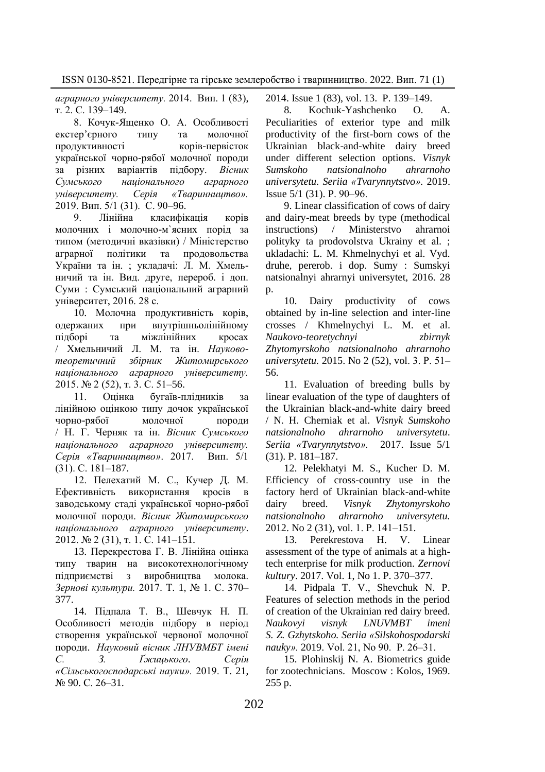*аграрного університету.* 2014. Вип. 1 (83), т. 2. С. 139–149.

8. Кочук-Ященко О. А. Особливості екстер'єрного типу та молочної продуктивності корів-первісток української чорно-рябої молочної породи за різних варіантів підбору. *Вісник Сумського національного аграрного університету. Серія «Тваринництво».* 2019. Вип. 5/1 (31). С. 90–96.

9. Лінійна класифікація корів молочних і молочно-м`ясних порід за типом (методичні вказівки) / Міністерство аграрної політики та продовольства України та ін. ; укладачі: Л. М. Хмельничий та ін. Вид. друге, перероб. і доп. Суми : Сумський національний аграрний університет, 2016. 28 с.

10. Молочна продуктивність корів, одержаних при внутрішньолінійному підборі та міжлінійних кросах / Хмельничий Л. М. та ін. *Науковотеоретичний збірник Житомирського національного аграрного університету.* 2015. № 2 (52), т. 3. С. 51–56.

11. Оцінка бугаїв-плідників за лінійною оцінкою типу дочок української чорно-рябої молочної породи / Н. Г. Черняк та ін. *Вісник Сумського національного аграрного університету. Серія «Тваринництво»*. 2017. Вип. 5/1 (31). С. 181–187.

12. Пелехатий М. С., Кучер Д. М. Ефективність використання кросів в заводському стаді української чорно-рябої молочної породи. *Вісник Житомирського національного аграрного університету*. 2012. № 2 (31), т. 1. С. 141–151.

13. Перекрестова Г. В. Лінійна оцінка типу тварин на високотехнологічному підприємстві з виробництва молока. *Зернові культури.* 2017. Т. 1, № 1. С. 370– 377.

14. [Підпала Т. В., Шевчук Н. П.](https://nvlvet.com.ua/index.php/agriculture/article/view/3658) [Особливості методів підбору в період](https://nvlvet.com.ua/index.php/agriculture/article/view/3658)  [створення української червоної молочної](https://nvlvet.com.ua/index.php/agriculture/article/view/3658)  [породи.](https://nvlvet.com.ua/index.php/agriculture/article/view/3658) *Науковий вісник ЛНУВМБТ імені С. З. Ґжицького. Серія «Сільськогосподарські науки».* 2019. Т. 21, № 90. С. 26–31.

2014. Issue 1 (83), vol. 13. P. 139–149.

8*.* Kochuk-Yashchenko O. A. Peculiarities of exterior type and milk productivity of the first-born cows of the Ukrainian black-and-white dairy breed under different selection options. *Visnyk Sumskoho natsionalnoho ahrarnoho universytetu. Seriia «Tvarynnytstvo».* 2019. Issue 5/1 (31). P. 90‒96.

9. Linear classification of cows of dairy and dairy-meat breeds by type (methodical instructions) / Ministerstvo ahrarnoi polityky ta prodovolstva Ukrainy et al. ; ukladachi: L. M. Khmelnychyi et al. Vyd. druhe, pererob. i dop. Sumy : Sumskyi natsionalnyi ahrarnyi universytet, 2016. 28 p.

10. Dairy productivity of cows obtained by in-line selection and inter-line crosses / Khmelnychyi L. M. et al. *Naukovo-teoretychnyi zbirnyk Zhytomyrskoho natsionalnoho ahrarnoho universytetu.* 2015. No 2 (52), vol. 3. Р. 51– 56.

11. Evaluation of breeding bulls by linear evaluation of the type of daughters of the Ukrainian black-and-white dairy breed / N. H. Cherniak et al. *Visnyk Sumskoho natsionalnoho ahrarnoho universytetu*. *Seriia «Tvarynnytstvo».* 2017. Issue 5/1 (31). P. 181–187.

12. Pelekhatyi M. S., Kucher D. M. Efficiency of cross-country use in the factory herd of Ukrainian black-and-white dairy breed. *Visnyk Zhytomyrskoho natsionalnoho ahrarnoho universytetu.* 2012. No 2 (31), vol. 1. Р. 141–151.

13. Perekrestova H. V. Linear assessment of the type of animals at a hightech enterprise for milk production*. Zernovi kultury*. 2017. Vol. 1, No 1. P. 370–377.

14. Pidpala T. V., Shevchuk N. P. Features of selection methods in the period of creation of the Ukrainian red dairy breed. *Naukovyi visnyk LNUVMBT imeni S. Z. Gzhytskoho. Seriia «Silskohospodarski nauky».* 2019. Vol. 21, No 90. P. 26‒31.

15. Plohinskij N. A. Biometrics guide for zootechnicians. Moscow : Kolos, 1969. 255 p.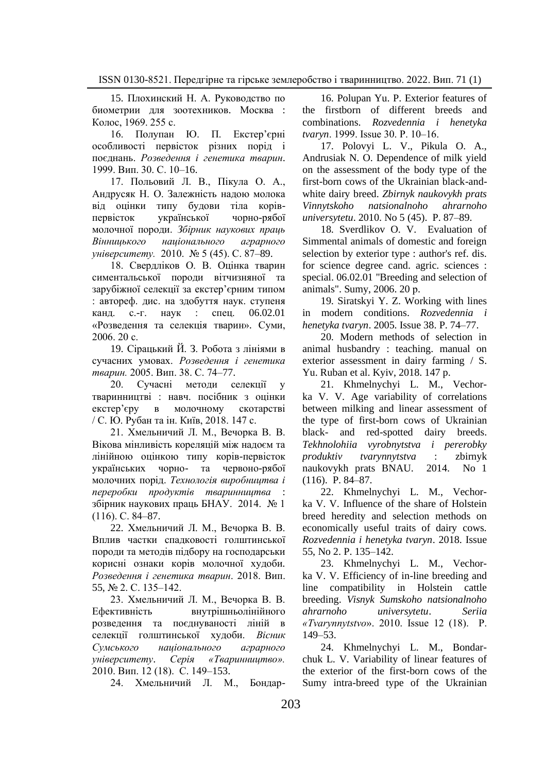15. Плохинский Н. А. Руководство по биометрии для зоотехников. Москва : Колос, 1969. 255 с.

16. Полупан Ю. П. Екстер'єрні особливості первісток різних порід і поєднань. *Розведення і генетика тварин*. 1999. Вип. 30. С. 10–16.

17. Польовий Л. В., Пікула О. А., Андрусяк Н. О. Залежність надою молока від оцінки типу будови тіла корівпервісток української чорно-рябої молочної породи. *Збірник наукових праць Вінницького національного аграрного університету.* 2010. № 5 (45). С. 87–89.

18. Свердліков О. В. Оцінка тварин симентальської породи вітчизняної та зарубіжної селекції за екстер'єрним типом : автореф. дис. на здобуття наук. ступеня канд. с.-г. наук : спец. 06.02.01 «Розведення та селекція тварин». Суми, 2006. 20 с.

19. Сірацький Й. З. Робота з лініями в сучасних умовах. *Розведення і генетика тварин.* 2005. Вип. 38. С. 74–77.

20. Сучасні методи селекції у тваринництві : навч. посібник з оцінки екстер'єру в молочному скотарстві / С. Ю. Рубан та ін. Київ, 2018. 147 с.

21. Хмельничий Л. М., Вечорка В. В. Вікова мінливість кореляцій між надоєм та лінійною оцінкою типу корів-первісток українських чорно- та червоно-рябої молочних порід. *Технологія виробництва і переробки продуктів тваринництва* : збірник наукових праць БНАУ. 2014. № 1 (116). С. 84–87.

22. Хмельничий Л. М., Вечорка В. В. Вплив частки спадковості голштинської породи та методів підбору на господарськи корисні ознаки корів молочної худоби*. [Розведення і генетика тварин](http://www.irbis-nbuv.gov.ua/cgi-bin/irbis_nbuv/cgiirbis_64.exe?Z21ID=&I21DBN=UJRN&P21DBN=UJRN&S21STN=1&S21REF=10&S21FMT=JUU_all&C21COM=S&S21CNR=20&S21P01=0&S21P02=0&S21P03=IJ=&S21COLORTERMS=1&S21STR=%D0%9662935)*. 2018. Вип. 55, № 2, С. 135–142.

23. Хмельничий Л. М., Вечорка В. В. Ефективність внутрішньолінійного розведення та поєднуваності ліній в селекції голштинської худоби. *Вісник Сумського національного аграрного університету*. *Серія «Тваринництво».* 2010. Вип. 12 (18). С. 149–153.

24. Хмельничий Л. М., Бондар-

16. Polupan Yu. P. Exterior features of the firstborn of different breeds and combinations. *Rozvedennia i henetyka tvaryn*. 1999. Issue 30. P. 10‒16.

17. Polovyi L. V., Pikula O. A., Andrusiak N. O. Dependence of milk yield on the assessment of the body type of the first-born cows of the Ukrainian black-andwhite dairy breed. *Zbirnyk naukovykh prats Vinnytskoho natsionalnoho ahrarnoho universytetu*. 2010. No 5 (45). P. 87–89.

18. Sverdlikov O. V. Evaluation of Simmental animals of domestic and foreign selection by exterior type : author's ref. dis. for science degree cand. agric. sciences : special. 06.02.01 "Breeding and selection of animals". Sumy, 2006. 20 р.

19. Siratskyi Y. Z. Working with lines in modern conditions. *Rozvedennia i henetyka tvaryn*. 2005. Issue 38. P. 74‒77.

20. Modern methods of selection in animal husbandry : teaching. manual on exterior assessment in dairy farming / S. Yu. Ruban et al. Kyiv, 2018. 147 p.

21. Khmelnychyi L. M., Vechorka V. V. Age variability of correlations between milking and linear assessment of the type of first-born cows of Ukrainian black- and red-spotted dairy breeds. *Tekhnolohiia vyrobnytstva i pererobky produktiv tvarynnytstva* : zbirnyk naukovykh prats BNAU. 2014. No 1 (116). P. 84–87.

22. Khmelnychyi L. M., Vechorka V. V. Influence of the share of Holstein breed heredity and selection methods on economically useful traits of dairy cows. *Rozvedennia i henetyka tvaryn*. 2018. Issue 55, No 2. P. 135‒142.

23. Khmelnychyi L. M., Vechorka V. V. Efficiency of in-line breeding and line compatibility in Holstein cattle breeding. *Visnyk Sumskoho natsionalnoho ahrarnoho universytetu*. *Seriia «Tvarynnytstvo*». 2010. Issue 12 (18). P. 149–53.

24. Khmelnychyi L. M., Bondarchuk L. V. Variability of linear features of the exterior of the first-born cows of the Sumy intra-breed type of the Ukrainian